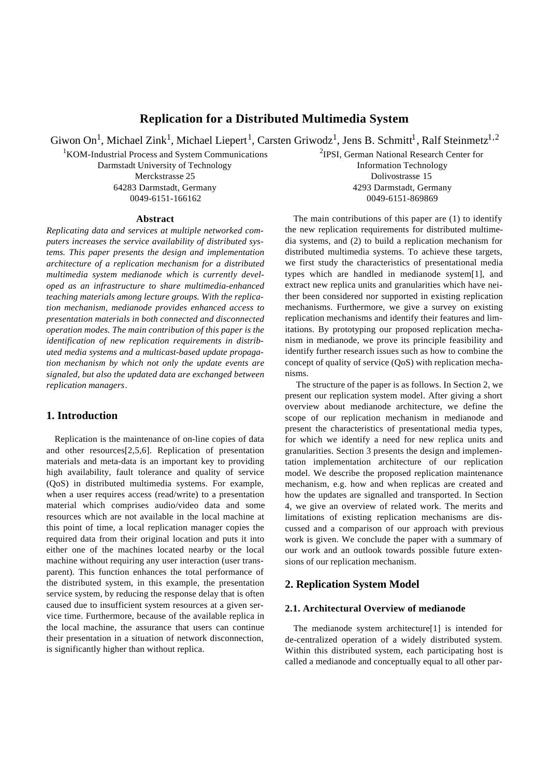# **Replication for a Distributed Multimedia System**

Giwon On<sup>1</sup>, Michael Zink<sup>1</sup>, Michael Liepert<sup>1</sup>, Carsten Griwodz<sup>1</sup>, Jens B. Schmitt<sup>1</sup>, Ralf Steinmetz<sup>1,2</sup>

<sup>1</sup>KOM-Industrial Process and System Communications

Darmstadt University of Technology Merckstrasse 25 64283 Darmstadt, Germany 0049-6151-166162

#### **Abstract**

*Replicating data and services at multiple networked computers increases the service availability of distributed systems. This paper presents the design and implementation architecture of a replication mechanism for a distributed multimedia system medianode which is currently developed as an infrastructure to share multimedia-enhanced teaching materials among lecture groups. With the replication mechanism, medianode provides enhanced access to presentation materials in both connected and disconnected operation modes. The main contribution of this paper is the identification of new replication requirements in distributed media systems and a multicast-based update propagation mechanism by which not only the update events are signaled, but also the updated data are exchanged between replication managers.*

### **1. Introduction**

Replication is the maintenance of on-line copies of data and other resources[2,5,6]. Replication of presentation materials and meta-data is an important key to providing high availability, fault tolerance and quality of service (QoS) in distributed multimedia systems. For example, when a user requires access (read/write) to a presentation material which comprises audio/video data and some resources which are not available in the local machine at this point of time, a local replication manager copies the required data from their original location and puts it into either one of the machines located nearby or the local machine without requiring any user interaction (user transparent). This function enhances the total performance of the distributed system, in this example, the presentation service system, by reducing the response delay that is often caused due to insufficient system resources at a given service time. Furthermore, because of the available replica in the local machine, the assurance that users can continue their presentation in a situation of network disconnection, is significantly higher than without replica.

2 IPSI, German National Research Center for Information Technology Dolivostrasse 15 4293 Darmstadt, Germany 0049-6151-869869

The main contributions of this paper are (1) to identify the new replication requirements for distributed multimedia systems, and (2) to build a replication mechanism for distributed multimedia systems. To achieve these targets, we first study the characteristics of presentational media types which are handled in medianode system[1], and extract new replica units and granularities which have neither been considered nor supported in existing replication mechanisms. Furthermore, we give a survey on existing replication mechanisms and identify their features and limitations. By prototyping our proposed replication mechanism in medianode, we prove its principle feasibility and identify further research issues such as how to combine the concept of quality of service (QoS) with replication mechanisms.

The structure of the paper is as follows. In Section 2, we present our replication system model. After giving a short overview about medianode architecture, we define the scope of our replication mechanism in medianode and present the characteristics of presentational media types, for which we identify a need for new replica units and granularities. Section 3 presents the design and implementation implementation architecture of our replication model. We describe the proposed replication maintenance mechanism, e.g. how and when replicas are created and how the updates are signalled and transported. In Section 4, we give an overview of related work. The merits and limitations of existing replication mechanisms are discussed and a comparison of our approach with previous work is given. We conclude the paper with a summary of our work and an outlook towards possible future extensions of our replication mechanism.

### **2. Replication System Model**

### **2.1. Architectural Overview of medianode**

The medianode system architecture[1] is intended for de-centralized operation of a widely distributed system. Within this distributed system, each participating host is called a medianode and conceptually equal to all other par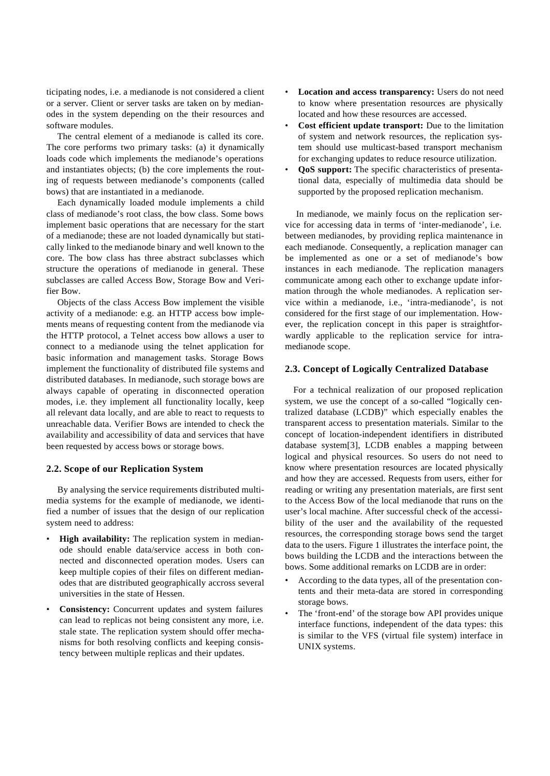ticipating nodes, i.e. a medianode is not considered a client or a server. Client or server tasks are taken on by medianodes in the system depending on the their resources and software modules.

The central element of a medianode is called its core. The core performs two primary tasks: (a) it dynamically loads code which implements the medianode's operations and instantiates objects; (b) the core implements the routing of requests between medianode's components (called bows) that are instantiated in a medianode.

Each dynamically loaded module implements a child class of medianode's root class, the bow class. Some bows implement basic operations that are necessary for the start of a medianode; these are not loaded dynamically but statically linked to the medianode binary and well known to the core. The bow class has three abstract subclasses which structure the operations of medianode in general. These subclasses are called Access Bow, Storage Bow and Verifier Bow.

Objects of the class Access Bow implement the visible activity of a medianode: e.g. an HTTP access bow implements means of requesting content from the medianode via the HTTP protocol, a Telnet access bow allows a user to connect to a medianode using the telnet application for basic information and management tasks. Storage Bows implement the functionality of distributed file systems and distributed databases. In medianode, such storage bows are always capable of operating in disconnected operation modes, i.e. they implement all functionality locally, keep all relevant data locally, and are able to react to requests to unreachable data. Verifier Bows are intended to check the availability and accessibility of data and services that have been requested by access bows or storage bows.

### **2.2. Scope of our Replication System**

By analysing the service requirements distributed multimedia systems for the example of medianode, we identified a number of issues that the design of our replication system need to address:

- **High availability:** The replication system in medianode should enable data/service access in both connected and disconnected operation modes. Users can keep multiple copies of their files on different medianodes that are distributed geographically accross several universities in the state of Hessen.
- **Consistency:** Concurrent updates and system failures can lead to replicas not being consistent any more, i.e. stale state. The replication system should offer mechanisms for both resolving conflicts and keeping consistency between multiple replicas and their updates.
- **Location and access transparency:** Users do not need to know where presentation resources are physically located and how these resources are accessed.
- **Cost efficient update transport:** Due to the limitation of system and network resources, the replication system should use multicast-based transport mechanism for exchanging updates to reduce resource utilization.
- **QoS support:** The specific characteristics of presentational data, especially of multimedia data should be supported by the proposed replication mechanism.

In medianode, we mainly focus on the replication service for accessing data in terms of 'inter-medianode', i.e. between medianodes, by providing replica maintenance in each medianode. Consequently, a replication manager can be implemented as one or a set of medianode's bow instances in each medianode. The replication managers communicate among each other to exchange update information through the whole medianodes. A replication service within a medianode, i.e., 'intra-medianode', is not considered for the first stage of our implementation. However, the replication concept in this paper is straightforwardly applicable to the replication service for intramedianode scope.

### **2.3. Concept of Logically Centralized Database**

For a technical realization of our proposed replication system, we use the concept of a so-called "logically centralized database (LCDB)" which especially enables the transparent access to presentation materials. Similar to the concept of location-independent identifiers in distributed database system[3], LCDB enables a mapping between logical and physical resources. So users do not need to know where presentation resources are located physically and how they are accessed. Requests from users, either for reading or writing any presentation materials, are first sent to the Access Bow of the local medianode that runs on the user's local machine. After successful check of the accessibility of the user and the availability of the requested resources, the corresponding storage bows send the target data to the users. Figure 1 illustrates the interface point, the bows building the LCDB and the interactions between the bows. Some additional remarks on LCDB are in order:

- According to the data types, all of the presentation contents and their meta-data are stored in corresponding storage bows.
- The 'front-end' of the storage bow API provides unique interface functions, independent of the data types: this is similar to the VFS (virtual file system) interface in UNIX systems.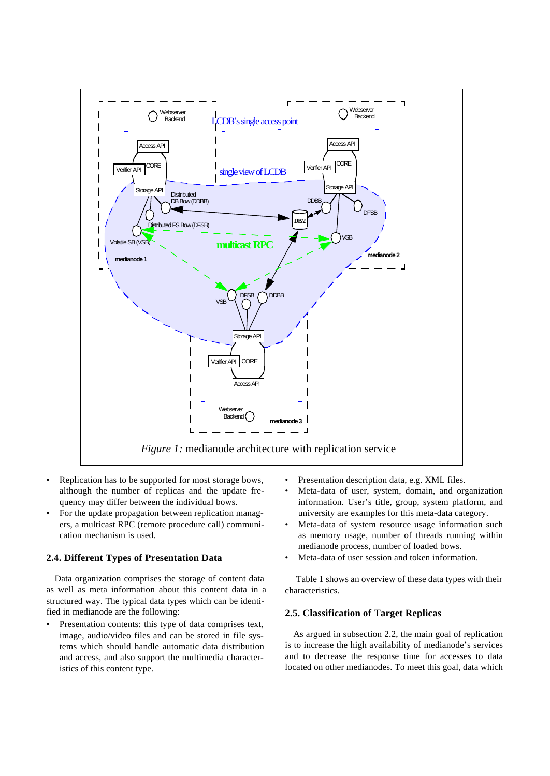

- Replication has to be supported for most storage bows, although the number of replicas and the update frequency may differ between the individual bows.
- For the update propagation between replication managers, a multicast RPC (remote procedure call) communication mechanism is used.

### **2.4. Different Types of Presentation Data**

Data organization comprises the storage of content data as well as meta information about this content data in a structured way. The typical data types which can be identified in medianode are the following:

Presentation contents: this type of data comprises text, image, audio/video files and can be stored in file systems which should handle automatic data distribution and access, and also support the multimedia characteristics of this content type.

- Presentation description data, e.g. XML files.
- Meta-data of user, system, domain, and organization information. User's title, group, system platform, and university are examples for this meta-data category.
- Meta-data of system resource usage information such as memory usage, number of threads running within medianode process, number of loaded bows.
- Meta-data of user session and token information.

Table 1 shows an overview of these data types with their characteristics.

### **2.5. Classification of Target Replicas**

As argued in subsection 2.2, the main goal of replication is to increase the high availability of medianode's services and to decrease the response time for accesses to data located on other medianodes. To meet this goal, data which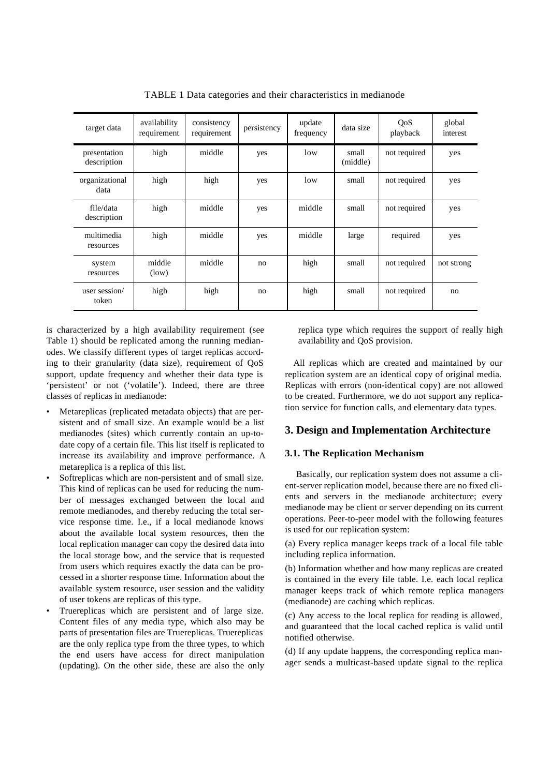| target data                 | availability<br>requirement | consistency<br>requirement | persistency | update<br>frequency | data size         | QoS<br>playback | global<br>interest |
|-----------------------------|-----------------------------|----------------------------|-------------|---------------------|-------------------|-----------------|--------------------|
| presentation<br>description | high                        | middle                     | yes         | low                 | small<br>(middle) | not required    | yes                |
| organizational<br>data      | high                        | high                       | yes         | low                 | small             | not required    | yes                |
| file/data<br>description    | high                        | middle                     | yes         | middle              | small             | not required    | yes                |
| multimedia<br>resources     | high                        | middle                     | yes         | middle              | large             | required        | yes                |
| system<br>resources         | middle<br>(low)             | middle                     | no          | high                | small             | not required    | not strong         |
| user session/<br>token      | high                        | high                       | no          | high                | small             | not required    | no                 |

TABLE 1 Data categories and their characteristics in medianode

is characterized by a high availability requirement (see Table 1) should be replicated among the running medianodes. We classify different types of target replicas according to their granularity (data size), requirement of QoS support, update frequency and whether their data type is 'persistent' or not ('volatile'). Indeed, there are three classes of replicas in medianode:

- Metareplicas (replicated metadata objects) that are persistent and of small size. An example would be a list medianodes (sites) which currently contain an up-todate copy of a certain file. This list itself is replicated to increase its availability and improve performance. A metareplica is a replica of this list.
- Softreplicas which are non-persistent and of small size. This kind of replicas can be used for reducing the number of messages exchanged between the local and remote medianodes, and thereby reducing the total service response time. I.e., if a local medianode knows about the available local system resources, then the local replication manager can copy the desired data into the local storage bow, and the service that is requested from users which requires exactly the data can be processed in a shorter response time. Information about the available system resource, user session and the validity of user tokens are replicas of this type.
- Truereplicas which are persistent and of large size. Content files of any media type, which also may be parts of presentation files are Truereplicas. Truereplicas are the only replica type from the three types, to which the end users have access for direct manipulation (updating). On the other side, these are also the only

replica type which requires the support of really high availability and QoS provision.

All replicas which are created and maintained by our replication system are an identical copy of original media. Replicas with errors (non-identical copy) are not allowed to be created. Furthermore, we do not support any replication service for function calls, and elementary data types.

## **3. Design and Implementation Architecture**

### **3.1. The Replication Mechanism**

Basically, our replication system does not assume a client-server replication model, because there are no fixed clients and servers in the medianode architecture; every medianode may be client or server depending on its current operations. Peer-to-peer model with the following features is used for our replication system:

(a) Every replica manager keeps track of a local file table including replica information.

(b) Information whether and how many replicas are created is contained in the every file table. I.e. each local replica manager keeps track of which remote replica managers (medianode) are caching which replicas.

(c) Any access to the local replica for reading is allowed, and guaranteed that the local cached replica is valid until notified otherwise.

(d) If any update happens, the corresponding replica manager sends a multicast-based update signal to the replica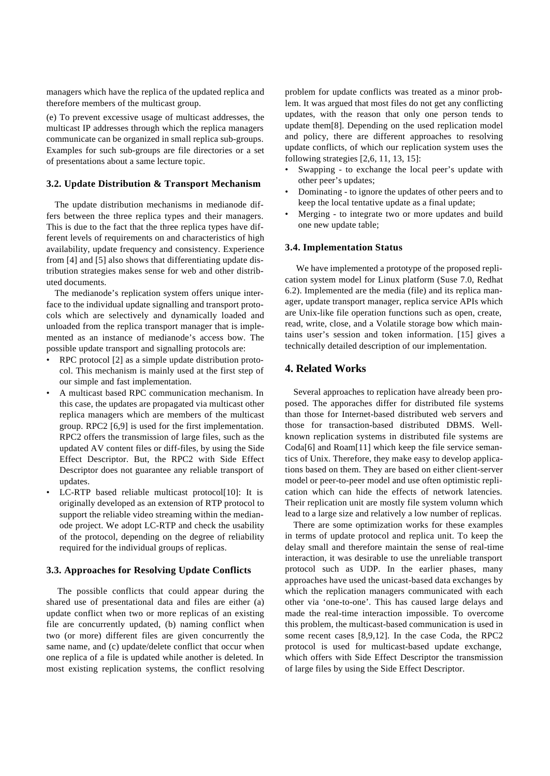managers which have the replica of the updated replica and therefore members of the multicast group.

(e) To prevent excessive usage of multicast addresses, the multicast IP addresses through which the replica managers communicate can be organized in small replica sub-groups. Examples for such sub-groups are file directories or a set of presentations about a same lecture topic.

#### **3.2. Update Distribution & Transport Mechanism**

The update distribution mechanisms in medianode differs between the three replica types and their managers. This is due to the fact that the three replica types have different levels of requirements on and characteristics of high availability, update frequency and consistency. Experience from [4] and [5] also shows that differentiating update distribution strategies makes sense for web and other distributed documents.

The medianode's replication system offers unique interface to the individual update signalling and transport protocols which are selectively and dynamically loaded and unloaded from the replica transport manager that is implemented as an instance of medianode's access bow. The possible update transport and signalling protocols are:

- RPC protocol [2] as a simple update distribution protocol. This mechanism is mainly used at the first step of our simple and fast implementation.
- A multicast based RPC communication mechanism. In this case, the updates are propagated via multicast other replica managers which are members of the multicast group. RPC2 [6,9] is used for the first implementation. RPC2 offers the transmission of large files, such as the updated AV content files or diff-files, by using the Side Effect Descriptor. But, the RPC2 with Side Effect Descriptor does not guarantee any reliable transport of updates.
- LC-RTP based reliable multicast protocol[10]: It is originally developed as an extension of RTP protocol to support the reliable video streaming within the medianode project. We adopt LC-RTP and check the usability of the protocol, depending on the degree of reliability required for the individual groups of replicas.

### **3.3. Approaches for Resolving Update Conflicts**

The possible conflicts that could appear during the shared use of presentational data and files are either (a) update conflict when two or more replicas of an existing file are concurrently updated, (b) naming conflict when two (or more) different files are given concurrently the same name, and (c) update/delete conflict that occur when one replica of a file is updated while another is deleted. In most existing replication systems, the conflict resolving problem for update conflicts was treated as a minor problem. It was argued that most files do not get any conflicting updates, with the reason that only one person tends to update them[8]. Depending on the used replication model and policy, there are different approaches to resolving update conflicts, of which our replication system uses the following strategies [2,6, 11, 13, 15]:

- Swapping to exchange the local peer's update with other peer's updates;
- Dominating to ignore the updates of other peers and to keep the local tentative update as a final update;
- Merging to integrate two or more updates and build one new update table;

#### **3.4. Implementation Status**

We have implemented a prototype of the proposed replication system model for Linux platform (Suse 7.0, Redhat 6.2). Implemented are the media (file) and its replica manager, update transport manager, replica service APIs which are Unix-like file operation functions such as open, create, read, write, close, and a Volatile storage bow which maintains user's session and token information. [15] gives a technically detailed description of our implementation.

## **4. Related Works**

Several approaches to replication have already been proposed. The apporaches differ for distributed file systems than those for Internet-based distributed web servers and those for transaction-based distributed DBMS. Wellknown replication systems in distributed file systems are Coda[6] and Roam[11] which keep the file service semantics of Unix. Therefore, they make easy to develop applications based on them. They are based on either client-server model or peer-to-peer model and use often optimistic replication which can hide the effects of network latencies. Their replication unit are mostly file system volumn which lead to a large size and relatively a low number of replicas.

There are some optimization works for these examples in terms of update protocol and replica unit. To keep the delay small and therefore maintain the sense of real-time interaction, it was desirable to use the unreliable transport protocol such as UDP. In the earlier phases, many approaches have used the unicast-based data exchanges by which the replication managers communicated with each other via 'one-to-one'. This has caused large delays and made the real-time interaction impossible. To overcome this problem, the multicast-based communication is used in some recent cases [8,9,12]. In the case Coda, the RPC2 protocol is used for multicast-based update exchange, which offers with Side Effect Descriptor the transmission of large files by using the Side Effect Descriptor.